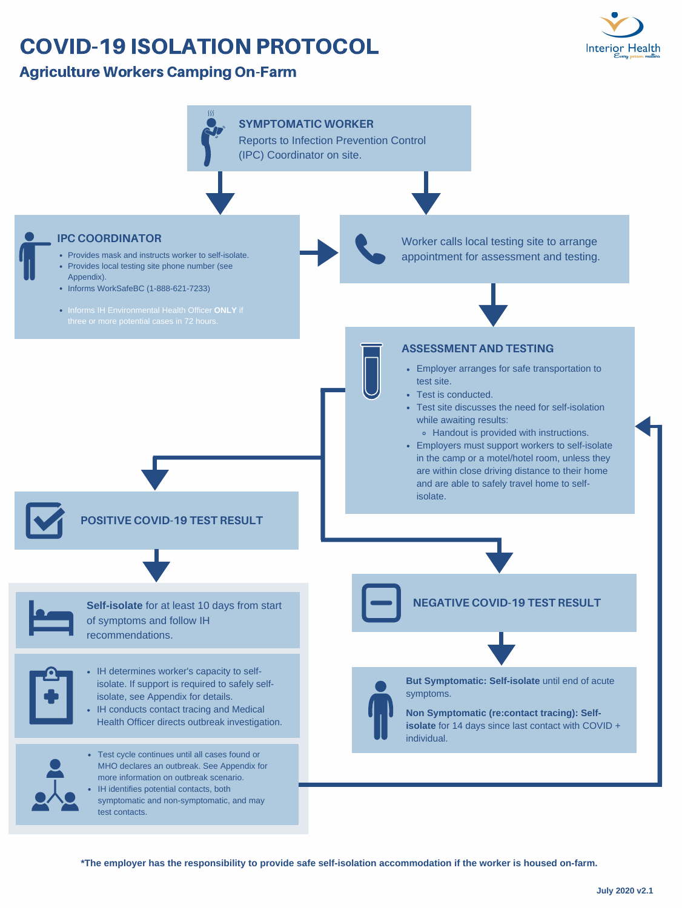- Provides mask and instructs worker to self-isolate.
- Provides local testing site phone number (see Appendix).
- Informs WorkSafeBC (1-888-621-7233)
- Informs IH Environmental Health Officer **ONLY** if three or more potential cases in 72 hours.

- Employer arranges for safe transportation to test site.
- Test is conducted.
- Test site discusses the need for self-isolation while awaiting results:
	- Handout is provided with instructions.
- Employers must support workers to self-isolate in the camp or a motel/hotel room, unless they are within close driving distance to their home



- IH determines worker's capacity to selfisolate. If support is required to safely selfisolate, see Appendix for details.
- IH conducts contact tracing and Medical Health Officer directs outbreak investigation.



and are able to safely travel home to selfisolate.



# COVID-19 ISOLATION PROTOCOL

## Agriculture Workers Camping On-Farm

**Self-isolate** for at least 10 days from start of symptoms and follow IH recommendations.



- Test cycle continues until all cases found or MHO declares an outbreak. See Appendix for more information on outbreak scenario.
- IH identifies potential contacts, both symptomatic and non-symptomatic, and may test contacts.



Worker calls local testing site to arrange appointment for assessment and testing.

**SYMPTOMATIC WORKER**

Reports to Infection Prevention Control (IPC) Coordinator on site.

#### **IPC COORDINATOR**

**NEGATIVE COVID-19 TEST RESULT**



### **POSITIVE COVID-19 TEST RESULT**

**But Symptomatic: Self-isolate** until end of acute symptoms.

**Non Symptomatic (re:contact tracing): Selfisolate** for 14 days since last contact with COVID + individual.

\*The employer has the responsibility to provide safe self-isolation accommodation if the worker is housed on-farm.